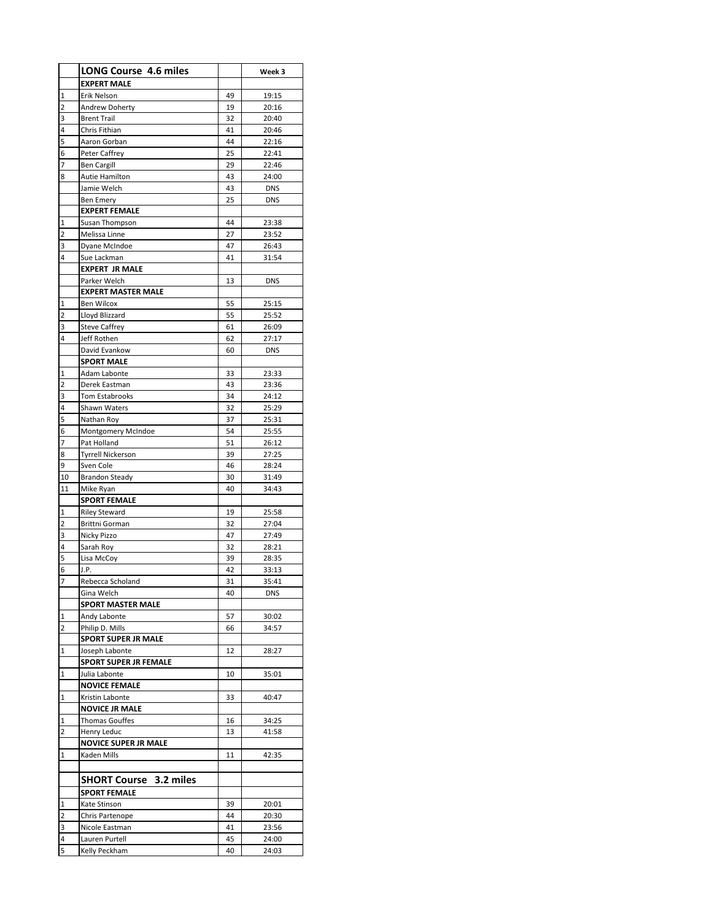|                | <b>LONG Course 4.6 miles</b>   |          | Week 3         |
|----------------|--------------------------------|----------|----------------|
|                | <b>EXPERT MALE</b>             |          |                |
| 1              | Erik Nelson                    | 49       | 19:15          |
| 2              | Andrew Doherty                 | 19       | 20:16          |
| 3              | <b>Brent Trail</b>             | 32       | 20:40          |
| 4              | Chris Fithian                  | 41       | 20:46          |
| 5              | Aaron Gorban                   | 44       | 22:16          |
| 6              | Peter Caffrey                  | 25       | 22:41          |
| 7              | <b>Ben Cargill</b>             | 29       | 22:46          |
| 8              | Autie Hamilton                 | 43       | 24:00          |
|                | Jamie Welch                    | 43       | <b>DNS</b>     |
|                | Ben Emery                      | 25       | <b>DNS</b>     |
|                | <b>EXPERT FEMALE</b>           |          |                |
| 1              | Susan Thompson                 | 44       | 23:38          |
| 2              | Melissa Linne                  | 27       | 23:52          |
| 3              | Dyane McIndoe                  | 47       | 26:43          |
| 4              | Sue Lackman                    | 41       | 31:54          |
|                | <b>EXPERT JR MALE</b>          |          |                |
|                | Parker Welch                   | 13       | <b>DNS</b>     |
|                | <b>EXPERT MASTER MALE</b>      |          |                |
| 1              | Ben Wilcox                     | 55       | 25:15          |
| 2              | Lloyd Blizzard                 | 55       | 25:52          |
| 3              | <b>Steve Caffrey</b>           | 61       | 26:09          |
| 4              | Jeff Rothen                    | 62       | 27:17          |
|                | David Evankow                  | 60       | <b>DNS</b>     |
|                | <b>SPORT MALE</b>              |          |                |
| 1              | Adam Labonte                   | 33       | 23:33          |
| 2              | Derek Eastman                  | 43       | 23:36<br>24:12 |
| 3<br>4         | Tom Estabrooks<br>Shawn Waters | 34<br>32 | 25:29          |
| 5              | Nathan Roy                     | 37       | 25:31          |
| 6              | Montgomery McIndoe             | 54       | 25:55          |
| 7              | Pat Holland                    | 51       | 26:12          |
| 8              | <b>Tyrrell Nickerson</b>       | 39       | 27:25          |
| 9              | Sven Cole                      | 46       | 28:24          |
| 10             | <b>Brandon Steady</b>          | 30       | 31:49          |
| 11             | Mike Ryan                      | 40       | 34:43          |
|                | <b>SPORT FEMALE</b>            |          |                |
| 1              | <b>Riley Steward</b>           | 19       | 25:58          |
| 2              | Brittni Gorman                 | 32       | 27:04          |
| 3              | Nicky Pizzo                    | 47       | 27:49          |
| 4              | Sarah Roy                      | 32       | 28:21          |
| 5              | Lisa McCoy                     | 39       | 28:35          |
| 6              | J.P.                           | 42       | 33:13          |
| $\overline{7}$ | Rebecca Scholand               | 31       | 35:41          |
|                | Gina Welch                     | 40       | DNS            |
|                | <b>SPORT MASTER MALE</b>       |          |                |
| 1              | Andy Labonte                   | 57       | 30:02          |
| 2              | Philip D. Mills                | 66       | 34:57          |
|                | <b>SPORT SUPER JR MALE</b>     |          |                |
| 1              | Joseph Labonte                 | 12       | 28:27          |
|                | <b>SPORT SUPER JR FEMALE</b>   |          |                |
| 1              | Julia Labonte                  | 10       | 35:01          |
|                | <b>NOVICE FEMALE</b>           |          |                |
| 1              | Kristin Labonte                | 33       | 40:47          |
|                | <b>NOVICE JR MALE</b>          |          |                |
| 1              | <b>Thomas Gouffes</b>          | 16       | 34:25          |
| 2              | Henry Leduc                    | 13       | 41:58          |
|                | <b>NOVICE SUPER JR MALE</b>    |          |                |
| 1              | Kaden Mills                    | 11       | 42:35          |
|                |                                |          |                |
|                | <b>SHORT Course 3.2 miles</b>  |          |                |
|                | <b>SPORT FEMALE</b>            |          |                |
| 1              | Kate Stinson                   | 39       | 20:01          |
| 2              | Chris Partenope                | 44       | 20:30          |
| 3              | Nicole Eastman                 | 41       | 23:56          |
| 4              | Lauren Purtell                 | 45       | 24:00          |
| 5              | Kelly Peckham                  | 40       | 24:03          |